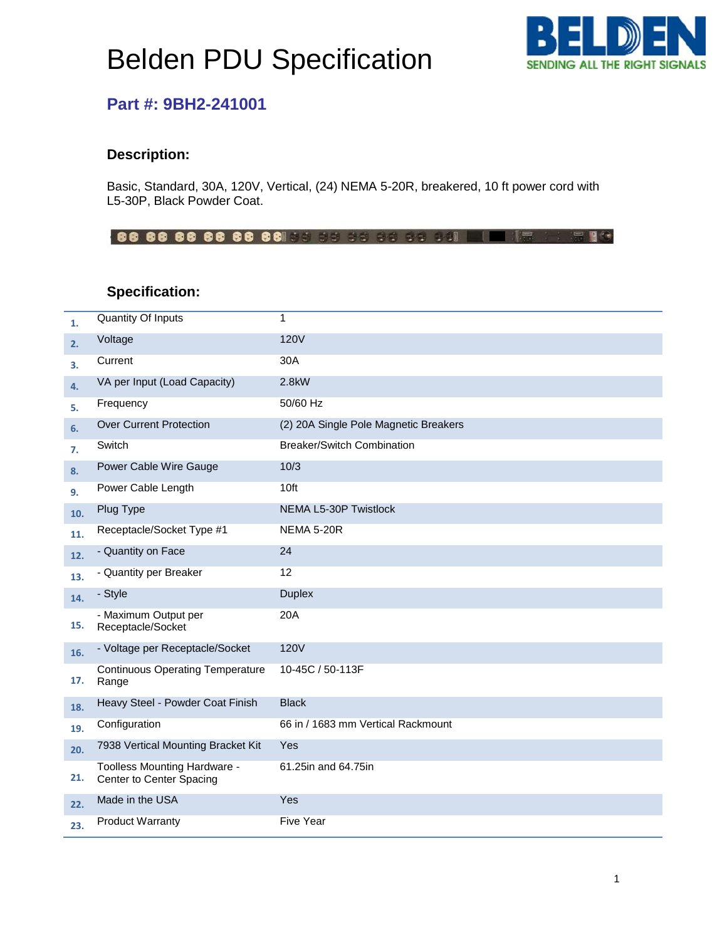# Belden PDU Specification



### **Part #: 9BH2-241001**

#### **Description:**

Basic, Standard, 30A, 120V, Vertical, (24) NEMA 5-20R, breakered, 10 ft power cord with L5-30P, Black Powder Coat.

#### **Specification:**

| 1.  | Quantity Of Inputs                                       | 1                                     |
|-----|----------------------------------------------------------|---------------------------------------|
| 2.  | Voltage                                                  | <b>120V</b>                           |
| 3.  | Current                                                  | 30A                                   |
| 4.  | VA per Input (Load Capacity)                             | 2.8kW                                 |
| 5.  | Frequency                                                | 50/60 Hz                              |
| 6.  | <b>Over Current Protection</b>                           | (2) 20A Single Pole Magnetic Breakers |
| 7.  | Switch                                                   | <b>Breaker/Switch Combination</b>     |
| 8.  | Power Cable Wire Gauge                                   | 10/3                                  |
| 9.  | Power Cable Length                                       | 10ft                                  |
| 10. | Plug Type                                                | NEMA L5-30P Twistlock                 |
| 11. | Receptacle/Socket Type #1                                | NEMA 5-20R                            |
| 12. | - Quantity on Face                                       | 24                                    |
| 13. | - Quantity per Breaker                                   | 12                                    |
| 14. | - Style                                                  | <b>Duplex</b>                         |
| 15. | - Maximum Output per<br>Receptacle/Socket                | 20A                                   |
| 16. | - Voltage per Receptacle/Socket                          | <b>120V</b>                           |
| 17. | <b>Continuous Operating Temperature</b><br>Range         | 10-45C / 50-113F                      |
| 18. | Heavy Steel - Powder Coat Finish                         | <b>Black</b>                          |
| 19. | Configuration                                            | 66 in / 1683 mm Vertical Rackmount    |
| 20. | 7938 Vertical Mounting Bracket Kit                       | Yes                                   |
| 21. | Toolless Mounting Hardware -<br>Center to Center Spacing | 61.25in and 64.75in                   |
| 22. | Made in the USA                                          | Yes                                   |
| 23. | <b>Product Warranty</b>                                  | <b>Five Year</b>                      |